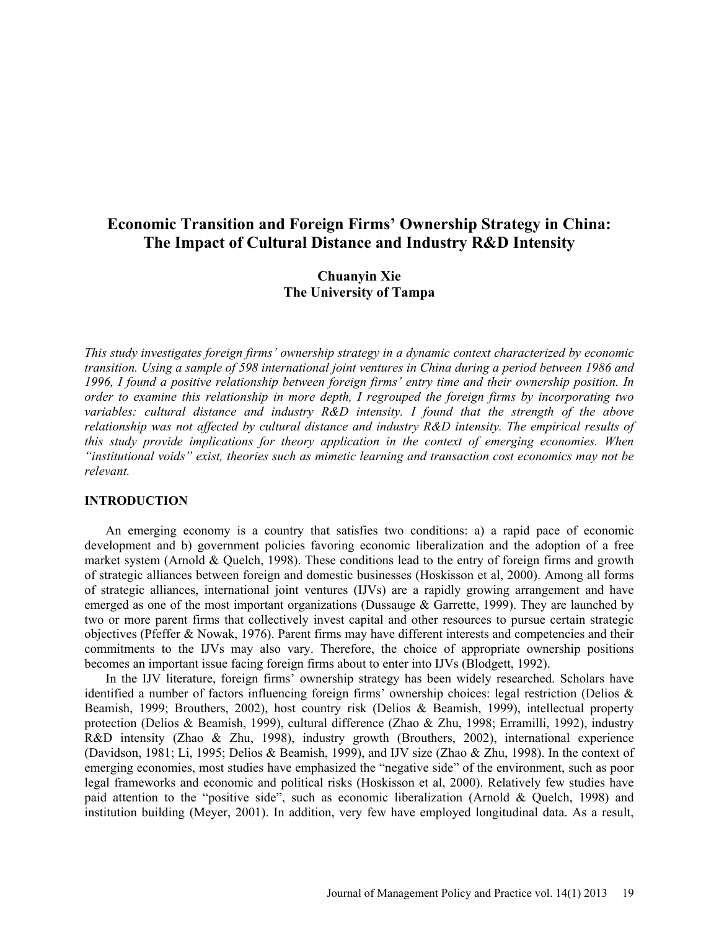# **Economic Transition and Foreign Firms' Ownership Strategy in China: The Impact of Cultural Distance and Industry R&D Intensity**

# **Chuanyin Xie The University of Tampa**

*This study investigates foreign firms' ownership strategy in a dynamic context characterized by economic transition. Using a sample of 598 international joint ventures in China during a period between 1986 and 1996, I found a positive relationship between foreign firms' entry time and their ownership position. In order to examine this relationship in more depth, I regrouped the foreign firms by incorporating two variables: cultural distance and industry R&D intensity. I found that the strength of the above relationship was not affected by cultural distance and industry R&D intensity. The empirical results of this study provide implications for theory application in the context of emerging economies. When "institutional voids" exist, theories such as mimetic learning and transaction cost economics may not be relevant.* 

### **INTRODUCTION**

An emerging economy is a country that satisfies two conditions: a) a rapid pace of economic development and b) government policies favoring economic liberalization and the adoption of a free market system (Arnold & Quelch, 1998). These conditions lead to the entry of foreign firms and growth of strategic alliances between foreign and domestic businesses (Hoskisson et al, 2000). Among all forms of strategic alliances, international joint ventures (IJVs) are a rapidly growing arrangement and have emerged as one of the most important organizations (Dussauge & Garrette, 1999). They are launched by two or more parent firms that collectively invest capital and other resources to pursue certain strategic objectives (Pfeffer & Nowak, 1976). Parent firms may have different interests and competencies and their commitments to the IJVs may also vary. Therefore, the choice of appropriate ownership positions becomes an important issue facing foreign firms about to enter into IJVs (Blodgett, 1992).

In the IJV literature, foreign firms' ownership strategy has been widely researched. Scholars have identified a number of factors influencing foreign firms' ownership choices: legal restriction (Delios & Beamish, 1999; Brouthers, 2002), host country risk (Delios & Beamish, 1999), intellectual property protection (Delios & Beamish, 1999), cultural difference (Zhao & Zhu, 1998; Erramilli, 1992), industry R&D intensity (Zhao & Zhu, 1998), industry growth (Brouthers, 2002), international experience (Davidson, 1981; Li, 1995; Delios & Beamish, 1999), and IJV size (Zhao & Zhu, 1998). In the context of emerging economies, most studies have emphasized the "negative side" of the environment, such as poor legal frameworks and economic and political risks (Hoskisson et al, 2000). Relatively few studies have paid attention to the "positive side", such as economic liberalization (Arnold & Quelch, 1998) and institution building (Meyer, 2001). In addition, very few have employed longitudinal data. As a result,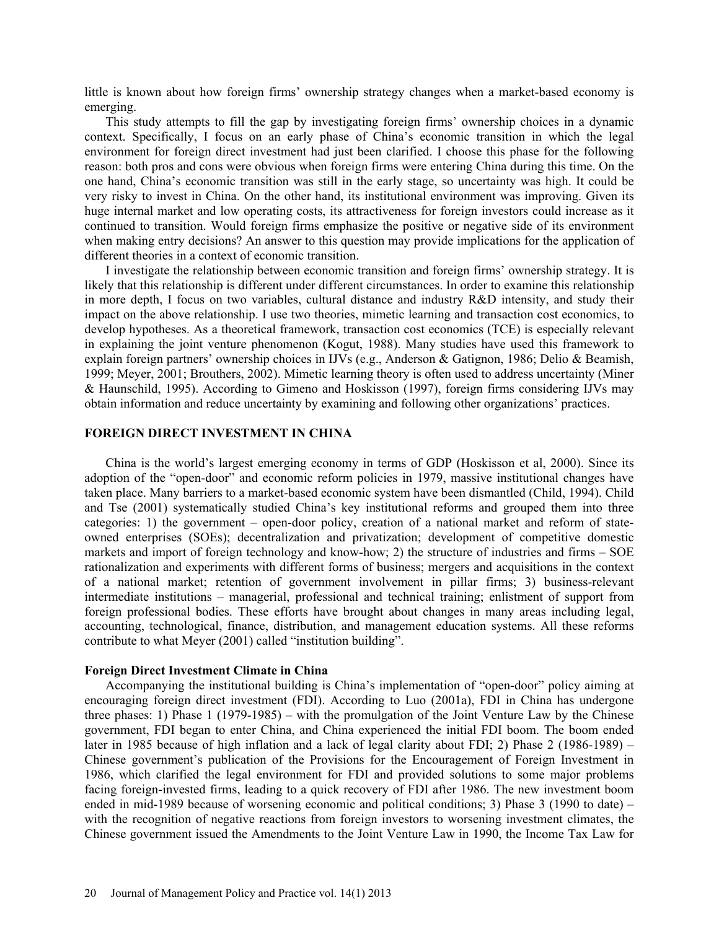little is known about how foreign firms' ownership strategy changes when a market-based economy is emerging.

This study attempts to fill the gap by investigating foreign firms' ownership choices in a dynamic context. Specifically, I focus on an early phase of China's economic transition in which the legal environment for foreign direct investment had just been clarified. I choose this phase for the following reason: both pros and cons were obvious when foreign firms were entering China during this time. On the one hand, China's economic transition was still in the early stage, so uncertainty was high. It could be very risky to invest in China. On the other hand, its institutional environment was improving. Given its huge internal market and low operating costs, its attractiveness for foreign investors could increase as it continued to transition. Would foreign firms emphasize the positive or negative side of its environment when making entry decisions? An answer to this question may provide implications for the application of different theories in a context of economic transition.

I investigate the relationship between economic transition and foreign firms' ownership strategy. It is likely that this relationship is different under different circumstances. In order to examine this relationship in more depth, I focus on two variables, cultural distance and industry R&D intensity, and study their impact on the above relationship. I use two theories, mimetic learning and transaction cost economics, to develop hypotheses. As a theoretical framework, transaction cost economics (TCE) is especially relevant in explaining the joint venture phenomenon (Kogut, 1988). Many studies have used this framework to explain foreign partners' ownership choices in IJVs (e.g., Anderson & Gatignon, 1986; Delio & Beamish, 1999; Meyer, 2001; Brouthers, 2002). Mimetic learning theory is often used to address uncertainty (Miner & Haunschild, 1995). According to Gimeno and Hoskisson (1997), foreign firms considering IJVs may obtain information and reduce uncertainty by examining and following other organizations' practices.

### **FOREIGN DIRECT INVESTMENT IN CHINA**

China is the world's largest emerging economy in terms of GDP (Hoskisson et al, 2000). Since its adoption of the "open-door" and economic reform policies in 1979, massive institutional changes have taken place. Many barriers to a market-based economic system have been dismantled (Child, 1994). Child and Tse (2001) systematically studied China's key institutional reforms and grouped them into three categories: 1) the government – open-door policy, creation of a national market and reform of stateowned enterprises (SOEs); decentralization and privatization; development of competitive domestic markets and import of foreign technology and know-how; 2) the structure of industries and firms – SOE rationalization and experiments with different forms of business; mergers and acquisitions in the context of a national market; retention of government involvement in pillar firms; 3) business-relevant intermediate institutions – managerial, professional and technical training; enlistment of support from foreign professional bodies. These efforts have brought about changes in many areas including legal, accounting, technological, finance, distribution, and management education systems. All these reforms contribute to what Meyer (2001) called "institution building".

# **Foreign Direct Investment Climate in China**

Accompanying the institutional building is China's implementation of "open-door" policy aiming at encouraging foreign direct investment (FDI). According to Luo (2001a), FDI in China has undergone three phases: 1) Phase 1 (1979-1985) – with the promulgation of the Joint Venture Law by the Chinese government, FDI began to enter China, and China experienced the initial FDI boom. The boom ended later in 1985 because of high inflation and a lack of legal clarity about FDI; 2) Phase 2 (1986-1989) – Chinese government's publication of the Provisions for the Encouragement of Foreign Investment in 1986, which clarified the legal environment for FDI and provided solutions to some major problems facing foreign-invested firms, leading to a quick recovery of FDI after 1986. The new investment boom ended in mid-1989 because of worsening economic and political conditions; 3) Phase 3 (1990 to date) – with the recognition of negative reactions from foreign investors to worsening investment climates, the Chinese government issued the Amendments to the Joint Venture Law in 1990, the Income Tax Law for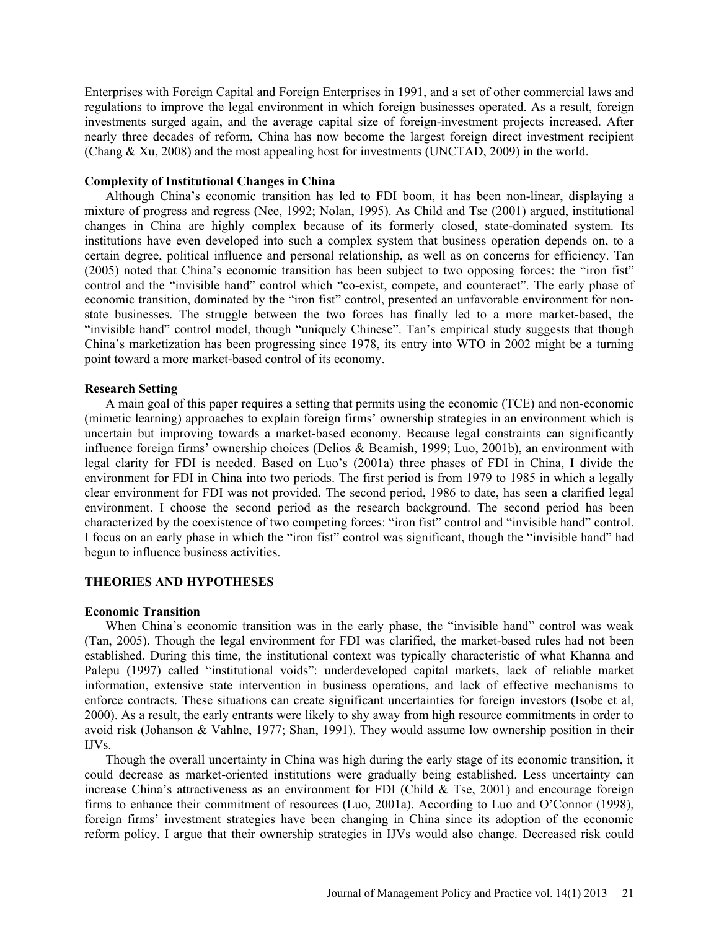Enterprises with Foreign Capital and Foreign Enterprises in 1991, and a set of other commercial laws and regulations to improve the legal environment in which foreign businesses operated. As a result, foreign investments surged again, and the average capital size of foreign-investment projects increased. After nearly three decades of reform, China has now become the largest foreign direct investment recipient (Chang  $\&$  Xu, 2008) and the most appealing host for investments (UNCTAD, 2009) in the world.

### **Complexity of Institutional Changes in China**

Although China's economic transition has led to FDI boom, it has been non-linear, displaying a mixture of progress and regress (Nee, 1992; Nolan, 1995). As Child and Tse (2001) argued, institutional changes in China are highly complex because of its formerly closed, state-dominated system. Its institutions have even developed into such a complex system that business operation depends on, to a certain degree, political influence and personal relationship, as well as on concerns for efficiency. Tan (2005) noted that China's economic transition has been subject to two opposing forces: the "iron fist" control and the "invisible hand" control which "co-exist, compete, and counteract". The early phase of economic transition, dominated by the "iron fist" control, presented an unfavorable environment for nonstate businesses. The struggle between the two forces has finally led to a more market-based, the "invisible hand" control model, though "uniquely Chinese". Tan's empirical study suggests that though China's marketization has been progressing since 1978, its entry into WTO in 2002 might be a turning point toward a more market-based control of its economy.

### **Research Setting**

A main goal of this paper requires a setting that permits using the economic (TCE) and non-economic (mimetic learning) approaches to explain foreign firms' ownership strategies in an environment which is uncertain but improving towards a market-based economy. Because legal constraints can significantly influence foreign firms' ownership choices (Delios & Beamish, 1999; Luo, 2001b), an environment with legal clarity for FDI is needed. Based on Luo's (2001a) three phases of FDI in China, I divide the environment for FDI in China into two periods. The first period is from 1979 to 1985 in which a legally clear environment for FDI was not provided. The second period, 1986 to date, has seen a clarified legal environment. I choose the second period as the research background. The second period has been characterized by the coexistence of two competing forces: "iron fist" control and "invisible hand" control. I focus on an early phase in which the "iron fist" control was significant, though the "invisible hand" had begun to influence business activities.

## **THEORIES AND HYPOTHESES**

#### **Economic Transition**

When China's economic transition was in the early phase, the "invisible hand" control was weak (Tan, 2005). Though the legal environment for FDI was clarified, the market-based rules had not been established. During this time, the institutional context was typically characteristic of what Khanna and Palepu (1997) called "institutional voids": underdeveloped capital markets, lack of reliable market information, extensive state intervention in business operations, and lack of effective mechanisms to enforce contracts. These situations can create significant uncertainties for foreign investors (Isobe et al, 2000). As a result, the early entrants were likely to shy away from high resource commitments in order to avoid risk (Johanson & Vahlne, 1977; Shan, 1991). They would assume low ownership position in their IJVs.

Though the overall uncertainty in China was high during the early stage of its economic transition, it could decrease as market-oriented institutions were gradually being established. Less uncertainty can increase China's attractiveness as an environment for FDI (Child  $\&$  Tse, 2001) and encourage foreign firms to enhance their commitment of resources (Luo, 2001a). According to Luo and O'Connor (1998), foreign firms' investment strategies have been changing in China since its adoption of the economic reform policy. I argue that their ownership strategies in IJVs would also change. Decreased risk could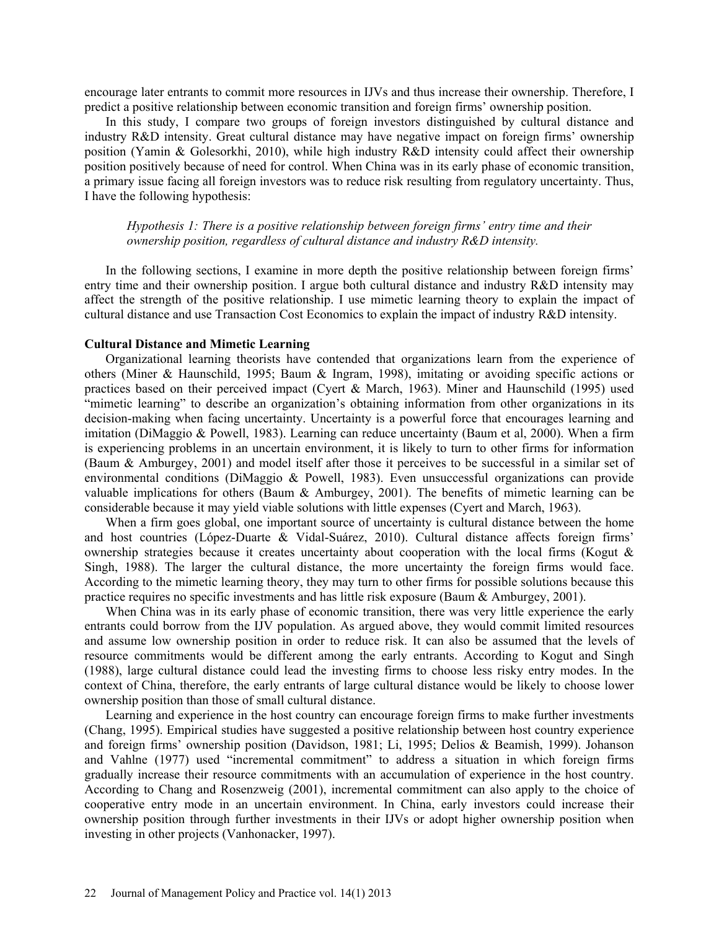encourage later entrants to commit more resources in IJVs and thus increase their ownership. Therefore, I predict a positive relationship between economic transition and foreign firms' ownership position.

In this study, I compare two groups of foreign investors distinguished by cultural distance and industry R&D intensity. Great cultural distance may have negative impact on foreign firms' ownership position (Yamin & Golesorkhi, 2010), while high industry R&D intensity could affect their ownership position positively because of need for control. When China was in its early phase of economic transition, a primary issue facing all foreign investors was to reduce risk resulting from regulatory uncertainty. Thus, I have the following hypothesis:

*Hypothesis 1: There is a positive relationship between foreign firms' entry time and their ownership position, regardless of cultural distance and industry R&D intensity.* 

In the following sections, I examine in more depth the positive relationship between foreign firms' entry time and their ownership position. I argue both cultural distance and industry R&D intensity may affect the strength of the positive relationship. I use mimetic learning theory to explain the impact of cultural distance and use Transaction Cost Economics to explain the impact of industry R&D intensity.

### **Cultural Distance and Mimetic Learning**

Organizational learning theorists have contended that organizations learn from the experience of others (Miner & Haunschild, 1995; Baum & Ingram, 1998), imitating or avoiding specific actions or practices based on their perceived impact (Cyert & March, 1963). Miner and Haunschild (1995) used "mimetic learning" to describe an organization's obtaining information from other organizations in its decision-making when facing uncertainty. Uncertainty is a powerful force that encourages learning and imitation (DiMaggio & Powell, 1983). Learning can reduce uncertainty (Baum et al, 2000). When a firm is experiencing problems in an uncertain environment, it is likely to turn to other firms for information (Baum & Amburgey, 2001) and model itself after those it perceives to be successful in a similar set of environmental conditions (DiMaggio & Powell, 1983). Even unsuccessful organizations can provide valuable implications for others (Baum & Amburgey, 2001). The benefits of mimetic learning can be considerable because it may yield viable solutions with little expenses (Cyert and March, 1963).

When a firm goes global, one important source of uncertainty is cultural distance between the home and host countries (López-Duarte & Vidal-Suárez, 2010). Cultural distance affects foreign firms' ownership strategies because it creates uncertainty about cooperation with the local firms (Kogut  $\&$ Singh, 1988). The larger the cultural distance, the more uncertainty the foreign firms would face. According to the mimetic learning theory, they may turn to other firms for possible solutions because this practice requires no specific investments and has little risk exposure (Baum & Amburgey, 2001).

When China was in its early phase of economic transition, there was very little experience the early entrants could borrow from the IJV population. As argued above, they would commit limited resources and assume low ownership position in order to reduce risk. It can also be assumed that the levels of resource commitments would be different among the early entrants. According to Kogut and Singh (1988), large cultural distance could lead the investing firms to choose less risky entry modes. In the context of China, therefore, the early entrants of large cultural distance would be likely to choose lower ownership position than those of small cultural distance.

Learning and experience in the host country can encourage foreign firms to make further investments (Chang, 1995). Empirical studies have suggested a positive relationship between host country experience and foreign firms' ownership position (Davidson, 1981; Li, 1995; Delios & Beamish, 1999). Johanson and Vahlne (1977) used "incremental commitment" to address a situation in which foreign firms gradually increase their resource commitments with an accumulation of experience in the host country. According to Chang and Rosenzweig (2001), incremental commitment can also apply to the choice of cooperative entry mode in an uncertain environment. In China, early investors could increase their ownership position through further investments in their IJVs or adopt higher ownership position when investing in other projects (Vanhonacker, 1997).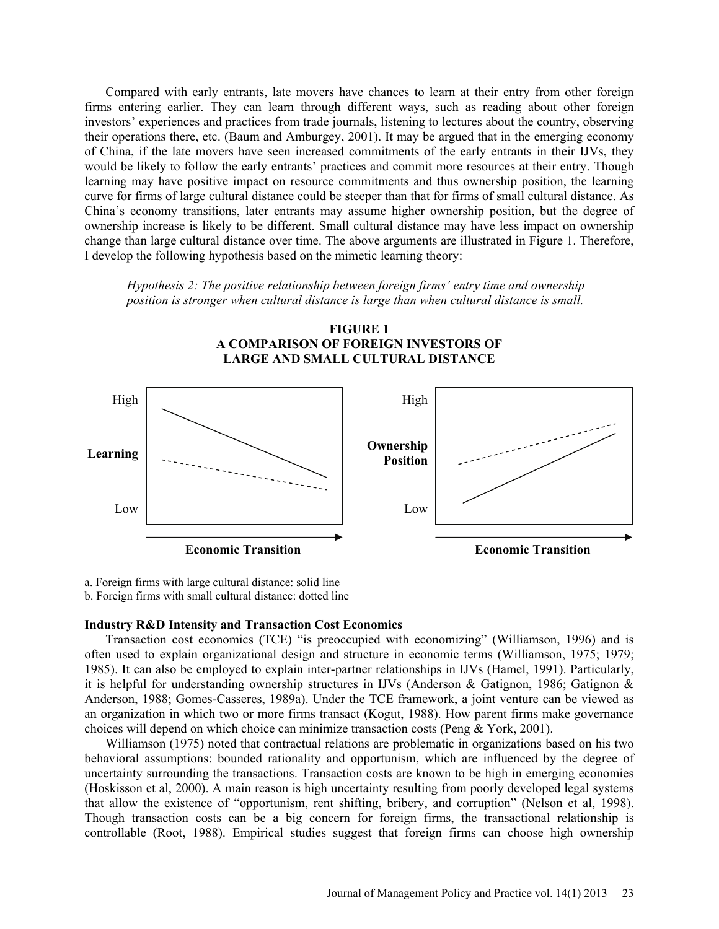Compared with early entrants, late movers have chances to learn at their entry from other foreign firms entering earlier. They can learn through different ways, such as reading about other foreign investors' experiences and practices from trade journals, listening to lectures about the country, observing their operations there, etc. (Baum and Amburgey, 2001). It may be argued that in the emerging economy of China, if the late movers have seen increased commitments of the early entrants in their IJVs, they would be likely to follow the early entrants' practices and commit more resources at their entry. Though learning may have positive impact on resource commitments and thus ownership position, the learning curve for firms of large cultural distance could be steeper than that for firms of small cultural distance. As China's economy transitions, later entrants may assume higher ownership position, but the degree of ownership increase is likely to be different. Small cultural distance may have less impact on ownership change than large cultural distance over time. The above arguments are illustrated in Figure 1. Therefore, I develop the following hypothesis based on the mimetic learning theory:

*Hypothesis 2: The positive relationship between foreign firms' entry time and ownership position is stronger when cultural distance is large than when cultural distance is small.* 



**FIGURE 1 A COMPARISON OF FOREIGN INVESTORS OF** 

a. Foreign firms with large cultural distance: solid line b. Foreign firms with small cultural distance: dotted line

### **Industry R&D Intensity and Transaction Cost Economics**

Transaction cost economics (TCE) "is preoccupied with economizing" (Williamson, 1996) and is often used to explain organizational design and structure in economic terms (Williamson, 1975; 1979; 1985). It can also be employed to explain inter-partner relationships in IJVs (Hamel, 1991). Particularly, it is helpful for understanding ownership structures in IJVs (Anderson & Gatignon, 1986; Gatignon & Anderson, 1988; Gomes-Casseres, 1989a). Under the TCE framework, a joint venture can be viewed as an organization in which two or more firms transact (Kogut, 1988). How parent firms make governance choices will depend on which choice can minimize transaction costs (Peng & York, 2001).

Williamson (1975) noted that contractual relations are problematic in organizations based on his two behavioral assumptions: bounded rationality and opportunism, which are influenced by the degree of uncertainty surrounding the transactions. Transaction costs are known to be high in emerging economies (Hoskisson et al, 2000). A main reason is high uncertainty resulting from poorly developed legal systems that allow the existence of "opportunism, rent shifting, bribery, and corruption" (Nelson et al, 1998). Though transaction costs can be a big concern for foreign firms, the transactional relationship is controllable (Root, 1988). Empirical studies suggest that foreign firms can choose high ownership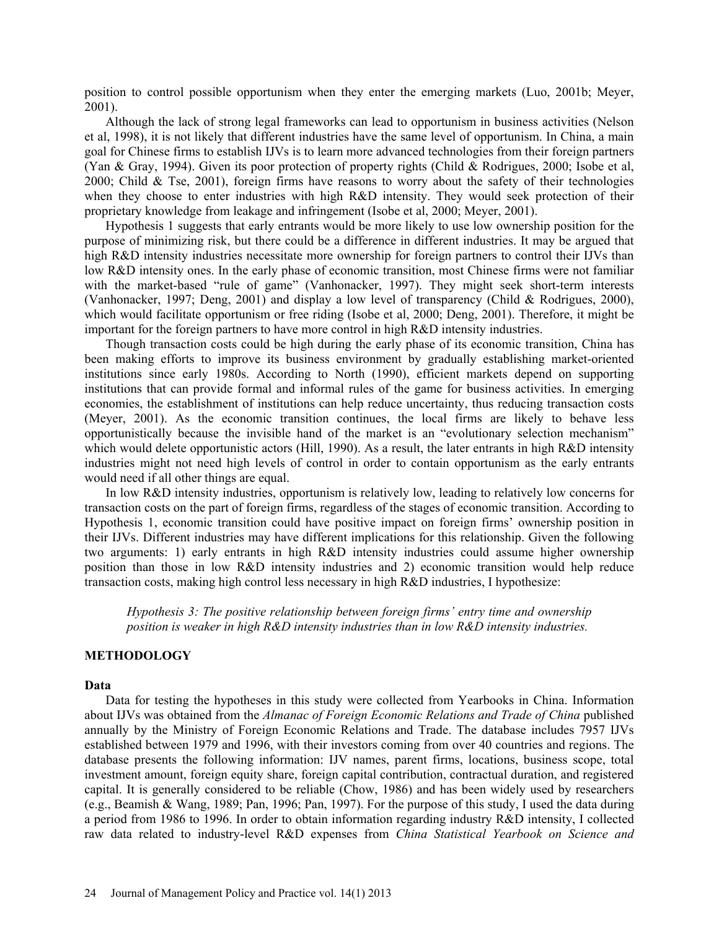position to control possible opportunism when they enter the emerging markets (Luo, 2001b; Meyer, 2001).

Although the lack of strong legal frameworks can lead to opportunism in business activities (Nelson et al, 1998), it is not likely that different industries have the same level of opportunism. In China, a main goal for Chinese firms to establish IJVs is to learn more advanced technologies from their foreign partners (Yan & Gray, 1994). Given its poor protection of property rights (Child & Rodrigues, 2000; Isobe et al, 2000; Child & Tse, 2001), foreign firms have reasons to worry about the safety of their technologies when they choose to enter industries with high R&D intensity. They would seek protection of their proprietary knowledge from leakage and infringement (Isobe et al, 2000; Meyer, 2001).

Hypothesis 1 suggests that early entrants would be more likely to use low ownership position for the purpose of minimizing risk, but there could be a difference in different industries. It may be argued that high R&D intensity industries necessitate more ownership for foreign partners to control their IJVs than low R&D intensity ones. In the early phase of economic transition, most Chinese firms were not familiar with the market-based "rule of game" (Vanhonacker, 1997). They might seek short-term interests (Vanhonacker, 1997; Deng, 2001) and display a low level of transparency (Child & Rodrigues, 2000), which would facilitate opportunism or free riding (Isobe et al, 2000; Deng, 2001). Therefore, it might be important for the foreign partners to have more control in high R&D intensity industries.

Though transaction costs could be high during the early phase of its economic transition, China has been making efforts to improve its business environment by gradually establishing market-oriented institutions since early 1980s. According to North (1990), efficient markets depend on supporting institutions that can provide formal and informal rules of the game for business activities. In emerging economies, the establishment of institutions can help reduce uncertainty, thus reducing transaction costs (Meyer, 2001). As the economic transition continues, the local firms are likely to behave less opportunistically because the invisible hand of the market is an "evolutionary selection mechanism" which would delete opportunistic actors (Hill, 1990). As a result, the later entrants in high R&D intensity industries might not need high levels of control in order to contain opportunism as the early entrants would need if all other things are equal.

In low R&D intensity industries, opportunism is relatively low, leading to relatively low concerns for transaction costs on the part of foreign firms, regardless of the stages of economic transition. According to Hypothesis 1, economic transition could have positive impact on foreign firms' ownership position in their IJVs. Different industries may have different implications for this relationship. Given the following two arguments: 1) early entrants in high R&D intensity industries could assume higher ownership position than those in low R&D intensity industries and 2) economic transition would help reduce transaction costs, making high control less necessary in high R&D industries, I hypothesize:

*Hypothesis 3: The positive relationship between foreign firms' entry time and ownership position is weaker in high R&D intensity industries than in low R&D intensity industries.* 

### **METHODOLOGY**

### **Data**

Data for testing the hypotheses in this study were collected from Yearbooks in China. Information about IJVs was obtained from the *Almanac of Foreign Economic Relations and Trade of China* published annually by the Ministry of Foreign Economic Relations and Trade. The database includes 7957 IJVs established between 1979 and 1996, with their investors coming from over 40 countries and regions. The database presents the following information: IJV names, parent firms, locations, business scope, total investment amount, foreign equity share, foreign capital contribution, contractual duration, and registered capital. It is generally considered to be reliable (Chow, 1986) and has been widely used by researchers (e.g., Beamish & Wang, 1989; Pan, 1996; Pan, 1997). For the purpose of this study, I used the data during a period from 1986 to 1996. In order to obtain information regarding industry R&D intensity, I collected raw data related to industry-level R&D expenses from *China Statistical Yearbook on Science and*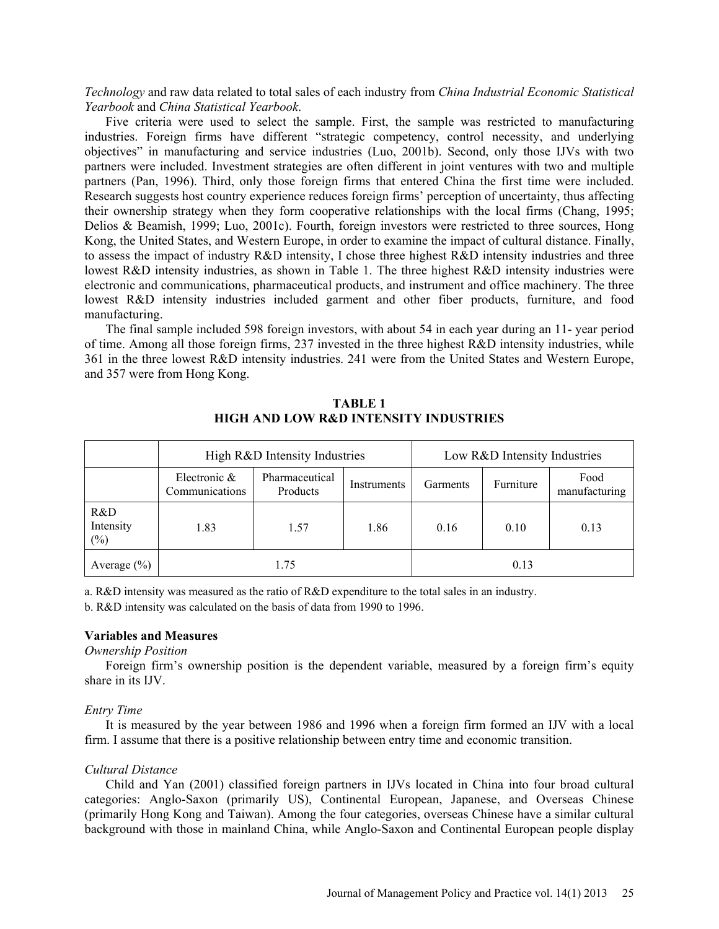*Technology* and raw data related to total sales of each industry from *China Industrial Economic Statistical Yearbook* and *China Statistical Yearbook*.

Five criteria were used to select the sample. First, the sample was restricted to manufacturing industries. Foreign firms have different "strategic competency, control necessity, and underlying objectives" in manufacturing and service industries (Luo, 2001b). Second, only those IJVs with two partners were included. Investment strategies are often different in joint ventures with two and multiple partners (Pan, 1996). Third, only those foreign firms that entered China the first time were included. Research suggests host country experience reduces foreign firms' perception of uncertainty, thus affecting their ownership strategy when they form cooperative relationships with the local firms (Chang, 1995; Delios & Beamish, 1999; Luo, 2001c). Fourth, foreign investors were restricted to three sources, Hong Kong, the United States, and Western Europe, in order to examine the impact of cultural distance. Finally, to assess the impact of industry R&D intensity, I chose three highest R&D intensity industries and three lowest R&D intensity industries, as shown in Table 1. The three highest R&D intensity industries were electronic and communications, pharmaceutical products, and instrument and office machinery. The three lowest R&D intensity industries included garment and other fiber products, furniture, and food manufacturing.

The final sample included 598 foreign investors, with about 54 in each year during an 11- year period of time. Among all those foreign firms, 237 invested in the three highest R&D intensity industries, while 361 in the three lowest R&D intensity industries. 241 were from the United States and Western Europe, and 357 were from Hong Kong.

**TABLE 1 HIGH AND LOW R&D INTENSITY INDUSTRIES** 

|                            | High R&D Intensity Industries                                                  | Low R&D Intensity Industries |          |           |                       |      |
|----------------------------|--------------------------------------------------------------------------------|------------------------------|----------|-----------|-----------------------|------|
|                            | Electronic $\&$<br>Pharmaceutical<br>Instruments<br>Communications<br>Products |                              | Garments | Furniture | Food<br>manufacturing |      |
| R&D<br>Intensity<br>$(\%)$ | 1.83                                                                           | 1.57                         | 1.86     | 0.16      | 0.10                  | 0.13 |
| Average $(\% )$            |                                                                                |                              | 0.13     |           |                       |      |

a. R&D intensity was measured as the ratio of R&D expenditure to the total sales in an industry.

b. R&D intensity was calculated on the basis of data from 1990 to 1996.

# **Variables and Measures**

*Ownership Position* 

Foreign firm's ownership position is the dependent variable, measured by a foreign firm's equity share in its IJV.

### *Entry Time*

It is measured by the year between 1986 and 1996 when a foreign firm formed an IJV with a local firm. I assume that there is a positive relationship between entry time and economic transition.

### *Cultural Distance*

Child and Yan (2001) classified foreign partners in IJVs located in China into four broad cultural categories: Anglo-Saxon (primarily US), Continental European, Japanese, and Overseas Chinese (primarily Hong Kong and Taiwan). Among the four categories, overseas Chinese have a similar cultural background with those in mainland China, while Anglo-Saxon and Continental European people display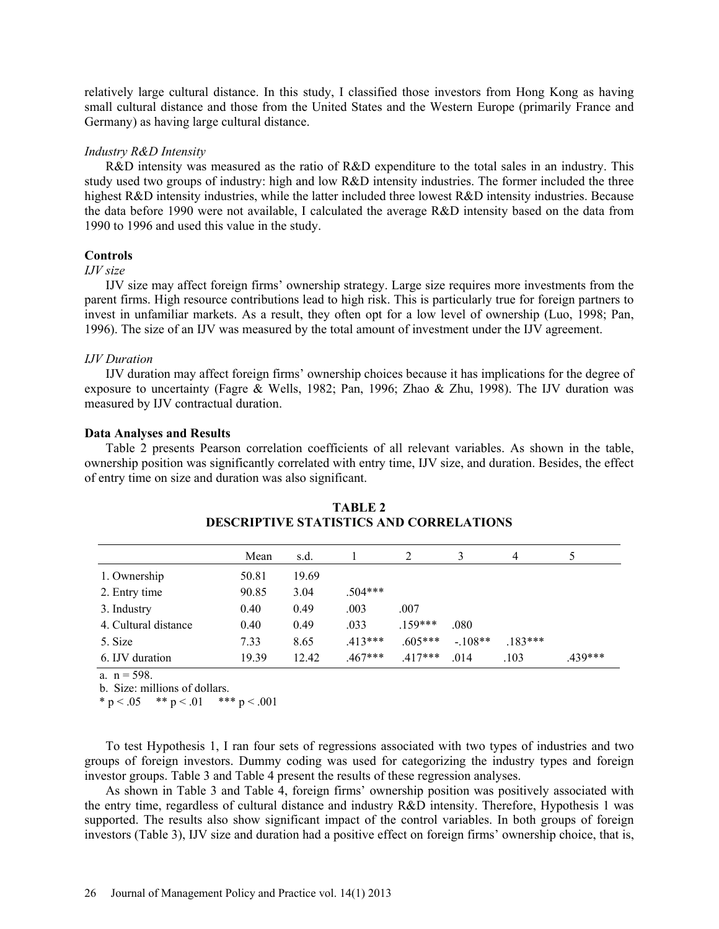relatively large cultural distance. In this study, I classified those investors from Hong Kong as having small cultural distance and those from the United States and the Western Europe (primarily France and Germany) as having large cultural distance.

### *Industry R&D Intensity*

R&D intensity was measured as the ratio of R&D expenditure to the total sales in an industry. This study used two groups of industry: high and low R&D intensity industries. The former included the three highest R&D intensity industries, while the latter included three lowest R&D intensity industries. Because the data before 1990 were not available, I calculated the average R&D intensity based on the data from 1990 to 1996 and used this value in the study.

### **Controls**

# *IJV size*

IJV size may affect foreign firms' ownership strategy. Large size requires more investments from the parent firms. High resource contributions lead to high risk. This is particularly true for foreign partners to invest in unfamiliar markets. As a result, they often opt for a low level of ownership (Luo, 1998; Pan, 1996). The size of an IJV was measured by the total amount of investment under the IJV agreement.

#### *IJV Duration*

IJV duration may affect foreign firms' ownership choices because it has implications for the degree of exposure to uncertainty (Fagre & Wells, 1982; Pan, 1996; Zhao & Zhu, 1998). The IJV duration was measured by IJV contractual duration.

#### **Data Analyses and Results**

Table 2 presents Pearson correlation coefficients of all relevant variables. As shown in the table, ownership position was significantly correlated with entry time, IJV size, and duration. Besides, the effect of entry time on size and duration was also significant.

|                      | Mean  | s.d.  |           |           |          | 4        |         |
|----------------------|-------|-------|-----------|-----------|----------|----------|---------|
| 1. Ownership         | 50.81 | 19.69 |           |           |          |          |         |
| 2. Entry time        | 90.85 | 3.04  | .504***   |           |          |          |         |
| 3. Industry          | 0.40  | 0.49  | .003      | .007      |          |          |         |
| 4. Cultural distance | 0.40  | 0.49  | .033      | $159***$  | .080     |          |         |
| 5. Size              | 7.33  | 8.65  | $.413***$ | $.605***$ | $-108**$ | $183***$ |         |
| 6. IJV duration      | 19.39 | 12.42 | $.467***$ | $.417***$ | .014     | .103     | .439*** |

| <b>TABLE 2</b>                                 |
|------------------------------------------------|
| <b>DESCRIPTIVE STATISTICS AND CORRELATIONS</b> |

a.  $n = 598$ .

b. Size: millions of dollars.

\* p < .05 \*\* p < .01 \*\*\* p < .001

To test Hypothesis 1, I ran four sets of regressions associated with two types of industries and two groups of foreign investors. Dummy coding was used for categorizing the industry types and foreign investor groups. Table 3 and Table 4 present the results of these regression analyses.

As shown in Table 3 and Table 4, foreign firms' ownership position was positively associated with the entry time, regardless of cultural distance and industry R&D intensity. Therefore, Hypothesis 1 was supported. The results also show significant impact of the control variables. In both groups of foreign investors (Table 3), IJV size and duration had a positive effect on foreign firms' ownership choice, that is,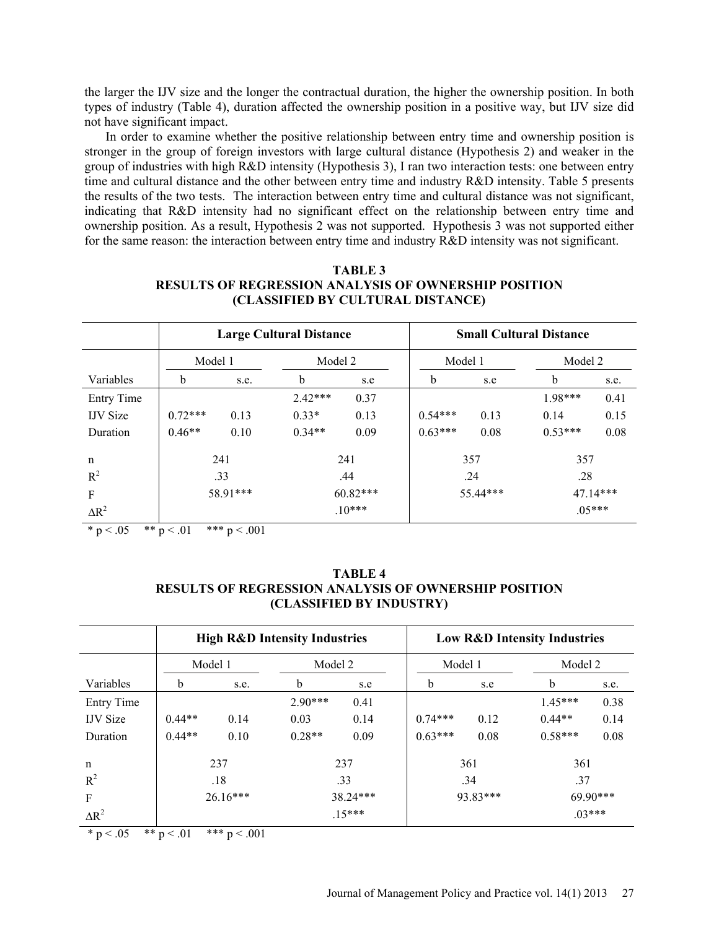the larger the IJV size and the longer the contractual duration, the higher the ownership position. In both types of industry (Table 4), duration affected the ownership position in a positive way, but IJV size did not have significant impact.

In order to examine whether the positive relationship between entry time and ownership position is stronger in the group of foreign investors with large cultural distance (Hypothesis 2) and weaker in the group of industries with high R&D intensity (Hypothesis 3), I ran two interaction tests: one between entry time and cultural distance and the other between entry time and industry R&D intensity. Table 5 presents the results of the two tests. The interaction between entry time and cultural distance was not significant, indicating that R&D intensity had no significant effect on the relationship between entry time and ownership position. As a result, Hypothesis 2 was not supported. Hypothesis 3 was not supported either for the same reason: the interaction between entry time and industry R&D intensity was not significant.

| <b>TABLE 3</b>                                              |
|-------------------------------------------------------------|
| <b>RESULTS OF REGRESSION ANALYSIS OF OWNERSHIP POSITION</b> |
| (CLASSIFIED BY CULTURAL DISTANCE)                           |

|                   | <b>Large Cultural Distance</b> |      |            |          | <b>Small Cultural Distance</b> |         |             |          |  |
|-------------------|--------------------------------|------|------------|----------|--------------------------------|---------|-------------|----------|--|
|                   | Model 1                        |      | Model 2    |          |                                | Model 1 |             | Model 2  |  |
| Variables         | $\mathbf b$                    | s.e. | b          | s.e      | b                              | s.e     | $\mathbf b$ | s.e.     |  |
| <b>Entry Time</b> |                                |      | $2.42***$  | 0.37     |                                |         | $1.98***$   | 0.41     |  |
| <b>IJV</b> Size   | $0.72***$                      | 0.13 | $0.33*$    | 0.13     | $0.54***$                      | 0.13    | 0.14        | 0.15     |  |
| Duration          | $0.46**$                       | 0.10 | $0.34**$   | 0.09     | $0.63***$                      | 0.08    | $0.53***$   | 0.08     |  |
| $\mathbf n$       | 241<br>241                     |      |            | 357      |                                | 357     |             |          |  |
| $R^2$             | .33                            |      | .44        |          | .24                            |         | .28         |          |  |
| F                 | 58.91***                       |      | $60.82***$ |          | 55.44***                       |         | 47.14***    |          |  |
| $\Delta R^2$      |                                |      |            | $.10***$ |                                |         |             | $.05***$ |  |

\* p < .05 \*\* p < .01 \*\*\* p < .001

| TABLE 4                                                     |
|-------------------------------------------------------------|
| <b>RESULTS OF REGRESSION ANALYSIS OF OWNERSHIP POSITION</b> |
| (CLASSIFIED BY INDUSTRY)                                    |

|                 | <b>High R&amp;D Intensity Industries</b> |                        |           |          |             | <b>Low R&amp;D Intensity Industries</b> |             |         |  |  |
|-----------------|------------------------------------------|------------------------|-----------|----------|-------------|-----------------------------------------|-------------|---------|--|--|
|                 | Model 1                                  |                        | Model 2   |          |             | Model 1                                 |             | Model 2 |  |  |
| Variables       | b                                        | s.e.                   | b         | s.e      | $\mathbf b$ | s.e                                     | $\mathbf b$ | s.e.    |  |  |
| Entry Time      |                                          |                        | $2.90***$ | 0.41     |             |                                         | $1.45***$   | 0.38    |  |  |
| <b>IJV</b> Size | $0.44**$                                 | 0.14                   | 0.03      | 0.14     | $0.74***$   | 0.12                                    | $0.44**$    | 0.14    |  |  |
| Duration        | $0.44**$                                 | 0.10                   | $0.28**$  | 0.09     | $0.63***$   | 0.08                                    | $0.58***$   | 0.08    |  |  |
| n               |                                          | 237                    | 237       |          |             | 361                                     |             | 361     |  |  |
| $R^2$           | .18                                      |                        | .33       |          | .34         |                                         | .37         |         |  |  |
| $\mathbf F$     |                                          | $26.16***$<br>38.24*** |           | 93.83*** |             | 69.90***                                |             |         |  |  |
| $\Delta R^2$    |                                          |                        | $.15***$  |          |             |                                         | $03***$     |         |  |  |

 $* p < 0.05$   $* p < 0.01$   $* p < 0.001$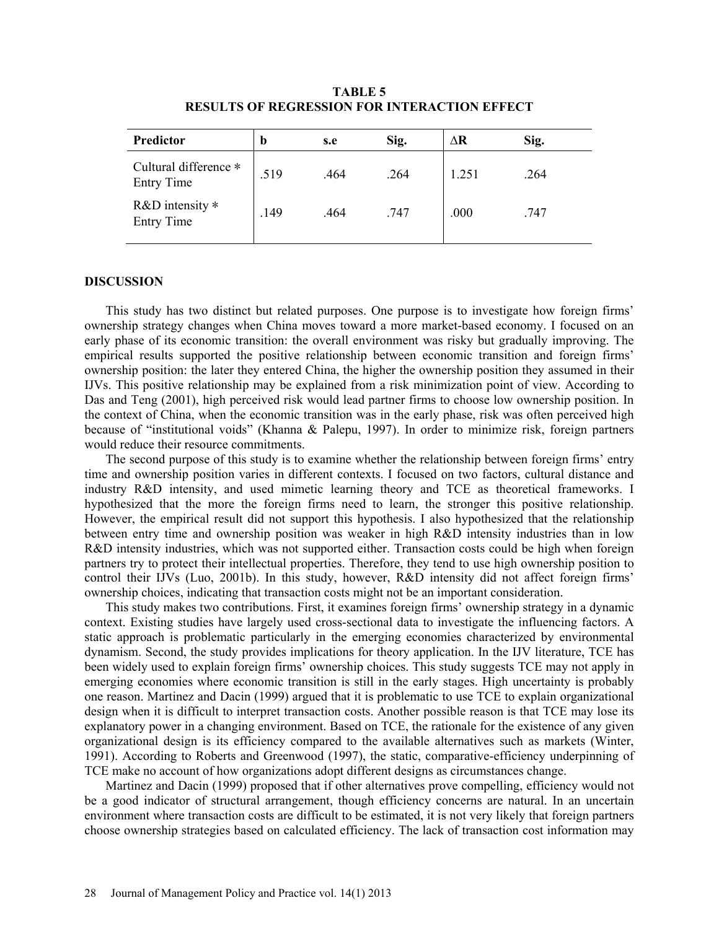| Predictor                                  | b    | s.e  | Sig. | ΔR    | Sig. |
|--------------------------------------------|------|------|------|-------|------|
| Cultural difference *<br><b>Entry Time</b> | .519 | .464 | .264 | 1.251 | .264 |
| R&D intensity $*$<br><b>Entry Time</b>     | .149 | .464 | .747 | .000  | .747 |

**TABLE 5 RESULTS OF REGRESSION FOR INTERACTION EFFECT** 

#### **DISCUSSION**

This study has two distinct but related purposes. One purpose is to investigate how foreign firms' ownership strategy changes when China moves toward a more market-based economy. I focused on an early phase of its economic transition: the overall environment was risky but gradually improving. The empirical results supported the positive relationship between economic transition and foreign firms' ownership position: the later they entered China, the higher the ownership position they assumed in their IJVs. This positive relationship may be explained from a risk minimization point of view. According to Das and Teng (2001), high perceived risk would lead partner firms to choose low ownership position. In the context of China, when the economic transition was in the early phase, risk was often perceived high because of "institutional voids" (Khanna & Palepu, 1997). In order to minimize risk, foreign partners would reduce their resource commitments.

The second purpose of this study is to examine whether the relationship between foreign firms' entry time and ownership position varies in different contexts. I focused on two factors, cultural distance and industry R&D intensity, and used mimetic learning theory and TCE as theoretical frameworks. I hypothesized that the more the foreign firms need to learn, the stronger this positive relationship. However, the empirical result did not support this hypothesis. I also hypothesized that the relationship between entry time and ownership position was weaker in high R&D intensity industries than in low R&D intensity industries, which was not supported either. Transaction costs could be high when foreign partners try to protect their intellectual properties. Therefore, they tend to use high ownership position to control their IJVs (Luo, 2001b). In this study, however, R&D intensity did not affect foreign firms' ownership choices, indicating that transaction costs might not be an important consideration.

This study makes two contributions. First, it examines foreign firms' ownership strategy in a dynamic context. Existing studies have largely used cross-sectional data to investigate the influencing factors. A static approach is problematic particularly in the emerging economies characterized by environmental dynamism. Second, the study provides implications for theory application. In the IJV literature, TCE has been widely used to explain foreign firms' ownership choices. This study suggests TCE may not apply in emerging economies where economic transition is still in the early stages. High uncertainty is probably one reason. Martinez and Dacin (1999) argued that it is problematic to use TCE to explain organizational design when it is difficult to interpret transaction costs. Another possible reason is that TCE may lose its explanatory power in a changing environment. Based on TCE, the rationale for the existence of any given organizational design is its efficiency compared to the available alternatives such as markets (Winter, 1991). According to Roberts and Greenwood (1997), the static, comparative-efficiency underpinning of TCE make no account of how organizations adopt different designs as circumstances change.

Martinez and Dacin (1999) proposed that if other alternatives prove compelling, efficiency would not be a good indicator of structural arrangement, though efficiency concerns are natural. In an uncertain environment where transaction costs are difficult to be estimated, it is not very likely that foreign partners choose ownership strategies based on calculated efficiency. The lack of transaction cost information may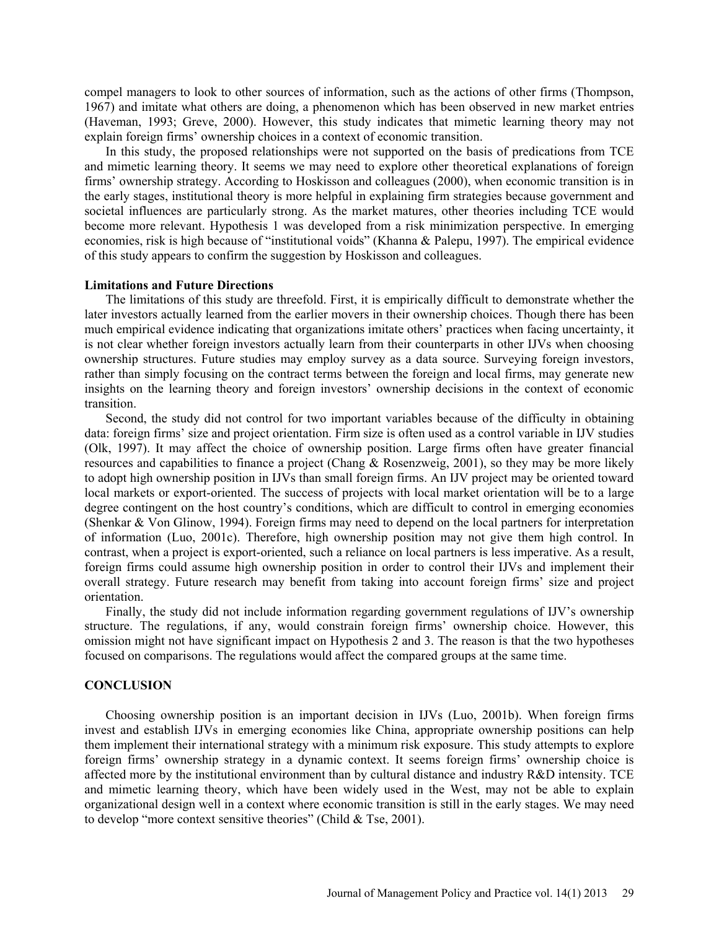compel managers to look to other sources of information, such as the actions of other firms (Thompson, 1967) and imitate what others are doing, a phenomenon which has been observed in new market entries (Haveman, 1993; Greve, 2000). However, this study indicates that mimetic learning theory may not explain foreign firms' ownership choices in a context of economic transition.

In this study, the proposed relationships were not supported on the basis of predications from TCE and mimetic learning theory. It seems we may need to explore other theoretical explanations of foreign firms' ownership strategy. According to Hoskisson and colleagues (2000), when economic transition is in the early stages, institutional theory is more helpful in explaining firm strategies because government and societal influences are particularly strong. As the market matures, other theories including TCE would become more relevant. Hypothesis 1 was developed from a risk minimization perspective. In emerging economies, risk is high because of "institutional voids" (Khanna & Palepu, 1997). The empirical evidence of this study appears to confirm the suggestion by Hoskisson and colleagues.

#### **Limitations and Future Directions**

The limitations of this study are threefold. First, it is empirically difficult to demonstrate whether the later investors actually learned from the earlier movers in their ownership choices. Though there has been much empirical evidence indicating that organizations imitate others' practices when facing uncertainty, it is not clear whether foreign investors actually learn from their counterparts in other IJVs when choosing ownership structures. Future studies may employ survey as a data source. Surveying foreign investors, rather than simply focusing on the contract terms between the foreign and local firms, may generate new insights on the learning theory and foreign investors' ownership decisions in the context of economic transition.

Second, the study did not control for two important variables because of the difficulty in obtaining data: foreign firms' size and project orientation. Firm size is often used as a control variable in IJV studies (Olk, 1997). It may affect the choice of ownership position. Large firms often have greater financial resources and capabilities to finance a project (Chang & Rosenzweig, 2001), so they may be more likely to adopt high ownership position in IJVs than small foreign firms. An IJV project may be oriented toward local markets or export-oriented. The success of projects with local market orientation will be to a large degree contingent on the host country's conditions, which are difficult to control in emerging economies (Shenkar & Von Glinow, 1994). Foreign firms may need to depend on the local partners for interpretation of information (Luo, 2001c). Therefore, high ownership position may not give them high control. In contrast, when a project is export-oriented, such a reliance on local partners is less imperative. As a result, foreign firms could assume high ownership position in order to control their IJVs and implement their overall strategy. Future research may benefit from taking into account foreign firms' size and project orientation.

Finally, the study did not include information regarding government regulations of IJV's ownership structure. The regulations, if any, would constrain foreign firms' ownership choice. However, this omission might not have significant impact on Hypothesis 2 and 3. The reason is that the two hypotheses focused on comparisons. The regulations would affect the compared groups at the same time.

## **CONCLUSION**

Choosing ownership position is an important decision in IJVs (Luo, 2001b). When foreign firms invest and establish IJVs in emerging economies like China, appropriate ownership positions can help them implement their international strategy with a minimum risk exposure. This study attempts to explore foreign firms' ownership strategy in a dynamic context. It seems foreign firms' ownership choice is affected more by the institutional environment than by cultural distance and industry R&D intensity. TCE and mimetic learning theory, which have been widely used in the West, may not be able to explain organizational design well in a context where economic transition is still in the early stages. We may need to develop "more context sensitive theories" (Child & Tse, 2001).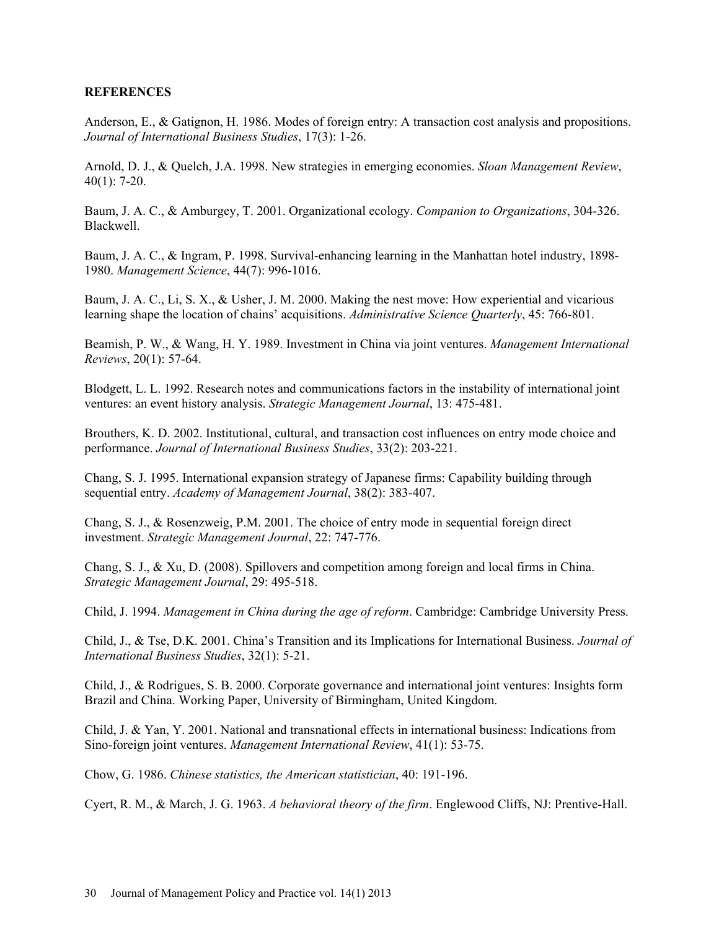# **REFERENCES**

Anderson, E., & Gatignon, H. 1986. Modes of foreign entry: A transaction cost analysis and propositions. *Journal of International Business Studies*, 17(3): 1-26.

Arnold, D. J., & Quelch, J.A. 1998. New strategies in emerging economies. *Sloan Management Review*, 40(1): 7-20.

Baum, J. A. C., & Amburgey, T. 2001. Organizational ecology. *Companion to Organizations*, 304-326. Blackwell.

Baum, J. A. C., & Ingram, P. 1998. Survival-enhancing learning in the Manhattan hotel industry, 1898- 1980. *Management Science*, 44(7): 996-1016.

Baum, J. A. C., Li, S. X., & Usher, J. M. 2000. Making the nest move: How experiential and vicarious learning shape the location of chains' acquisitions. *Administrative Science Quarterly*, 45: 766-801.

Beamish, P. W., & Wang, H. Y. 1989. Investment in China via joint ventures. *Management International Reviews*, 20(1): 57-64.

Blodgett, L. L. 1992. Research notes and communications factors in the instability of international joint ventures: an event history analysis. *Strategic Management Journal*, 13: 475-481.

Brouthers, K. D. 2002. Institutional, cultural, and transaction cost influences on entry mode choice and performance. *Journal of International Business Studies*, 33(2): 203-221.

Chang, S. J. 1995. International expansion strategy of Japanese firms: Capability building through sequential entry. *Academy of Management Journal*, 38(2): 383-407.

Chang, S. J., & Rosenzweig, P.M. 2001. The choice of entry mode in sequential foreign direct investment. *Strategic Management Journal*, 22: 747-776.

Chang, S. J., & Xu, D. (2008). Spillovers and competition among foreign and local firms in China. *Strategic Management Journal*, 29: 495-518.

Child, J. 1994. *Management in China during the age of reform*. Cambridge: Cambridge University Press.

Child, J., & Tse, D.K. 2001. China's Transition and its Implications for International Business. *Journal of International Business Studies*, 32(1): 5-21.

Child, J., & Rodrigues, S. B. 2000. Corporate governance and international joint ventures: Insights form Brazil and China. Working Paper, University of Birmingham, United Kingdom.

Child, J. & Yan, Y. 2001. National and transnational effects in international business: Indications from Sino-foreign joint ventures. *Management International Review*, 41(1): 53-75.

Chow, G. 1986. *Chinese statistics, the American statistician*, 40: 191-196.

Cyert, R. M., & March, J. G. 1963. *A behavioral theory of the firm*. Englewood Cliffs, NJ: Prentive-Hall.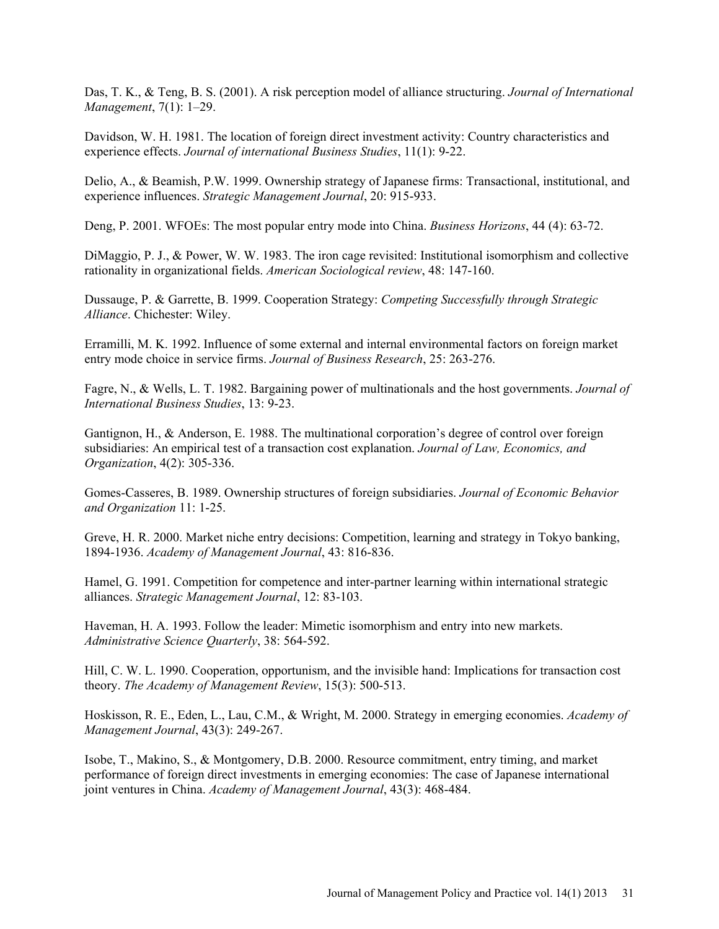Das, T. K., & Teng, B. S. (2001). A risk perception model of alliance structuring. *Journal of International Management*, 7(1): 1–29.

Davidson, W. H. 1981. The location of foreign direct investment activity: Country characteristics and experience effects. *Journal of international Business Studies*, 11(1): 9-22.

Delio, A., & Beamish, P.W. 1999. Ownership strategy of Japanese firms: Transactional, institutional, and experience influences. *Strategic Management Journal*, 20: 915-933.

Deng, P. 2001. WFOEs: The most popular entry mode into China. *Business Horizons*, 44 (4): 63-72.

DiMaggio, P. J., & Power, W. W. 1983. The iron cage revisited: Institutional isomorphism and collective rationality in organizational fields. *American Sociological review*, 48: 147-160.

Dussauge, P. & Garrette, B. 1999. Cooperation Strategy: *Competing Successfully through Strategic Alliance*. Chichester: Wiley.

Erramilli, M. K. 1992. Influence of some external and internal environmental factors on foreign market entry mode choice in service firms. *Journal of Business Research*, 25: 263-276.

Fagre, N., & Wells, L. T. 1982. Bargaining power of multinationals and the host governments. *Journal of International Business Studies*, 13: 9-23.

Gantignon, H., & Anderson, E. 1988. The multinational corporation's degree of control over foreign subsidiaries: An empirical test of a transaction cost explanation. *Journal of Law, Economics, and Organization*, 4(2): 305-336.

Gomes-Casseres, B. 1989. Ownership structures of foreign subsidiaries. *Journal of Economic Behavior and Organization* 11: 1-25.

Greve, H. R. 2000. Market niche entry decisions: Competition, learning and strategy in Tokyo banking, 1894-1936. *Academy of Management Journal*, 43: 816-836.

Hamel, G. 1991. Competition for competence and inter-partner learning within international strategic alliances. *Strategic Management Journal*, 12: 83-103.

Haveman, H. A. 1993. Follow the leader: Mimetic isomorphism and entry into new markets. *Administrative Science Quarterly*, 38: 564-592.

Hill, C. W. L. 1990. Cooperation, opportunism, and the invisible hand: Implications for transaction cost theory. *The Academy of Management Review*, 15(3): 500-513.

Hoskisson, R. E., Eden, L., Lau, C.M., & Wright, M. 2000. Strategy in emerging economies. *Academy of Management Journal*, 43(3): 249-267.

Isobe, T., Makino, S., & Montgomery, D.B. 2000. Resource commitment, entry timing, and market performance of foreign direct investments in emerging economies: The case of Japanese international joint ventures in China. *Academy of Management Journal*, 43(3): 468-484.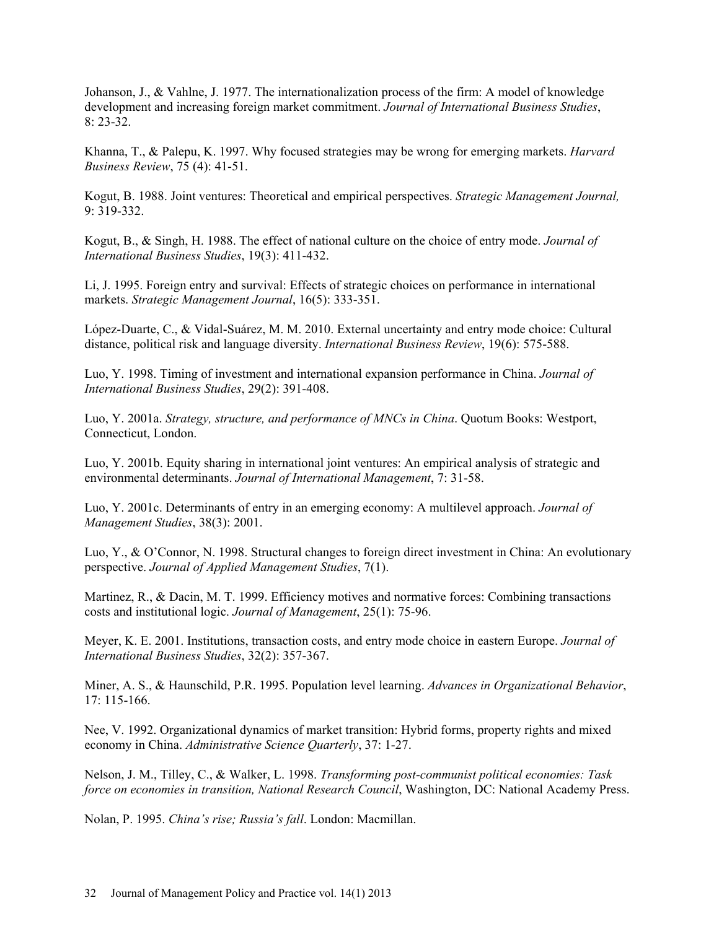Johanson, J., & Vahlne, J. 1977. The internationalization process of the firm: A model of knowledge development and increasing foreign market commitment. *Journal of International Business Studies*, 8: 23-32.

Khanna, T., & Palepu, K. 1997. Why focused strategies may be wrong for emerging markets. *Harvard Business Review*, 75 (4): 41-51.

Kogut, B. 1988. Joint ventures: Theoretical and empirical perspectives. *Strategic Management Journal,* 9: 319-332.

Kogut, B., & Singh, H. 1988. The effect of national culture on the choice of entry mode. *Journal of International Business Studies*, 19(3): 411-432.

Li, J. 1995. Foreign entry and survival: Effects of strategic choices on performance in international markets. *Strategic Management Journal*, 16(5): 333-351.

López-Duarte, C., & Vidal-Suárez, M. M. 2010. External uncertainty and entry mode choice: Cultural distance, political risk and language diversity. *International Business Review*, 19(6): 575-588.

Luo, Y. 1998. Timing of investment and international expansion performance in China. *Journal of International Business Studies*, 29(2): 391-408.

Luo, Y. 2001a. *Strategy, structure, and performance of MNCs in China*. Quotum Books: Westport, Connecticut, London.

Luo, Y. 2001b. Equity sharing in international joint ventures: An empirical analysis of strategic and environmental determinants. *Journal of International Management*, 7: 31-58.

Luo, Y. 2001c. Determinants of entry in an emerging economy: A multilevel approach. *Journal of Management Studies*, 38(3): 2001.

Luo, Y., & O'Connor, N. 1998. Structural changes to foreign direct investment in China: An evolutionary perspective. *Journal of Applied Management Studies*, 7(1).

Martinez, R., & Dacin, M. T. 1999. Efficiency motives and normative forces: Combining transactions costs and institutional logic. *Journal of Management*, 25(1): 75-96.

Meyer, K. E. 2001. Institutions, transaction costs, and entry mode choice in eastern Europe. *Journal of International Business Studies*, 32(2): 357-367.

Miner, A. S., & Haunschild, P.R. 1995. Population level learning. *Advances in Organizational Behavior*,  $17:115-166$ 

Nee, V. 1992. Organizational dynamics of market transition: Hybrid forms, property rights and mixed economy in China. *Administrative Science Quarterly*, 37: 1-27.

Nelson, J. M., Tilley, C., & Walker, L. 1998. *Transforming post-communist political economies: Task force on economies in transition, National Research Council*, Washington, DC: National Academy Press.

Nolan, P. 1995. *China's rise; Russia's fall*. London: Macmillan.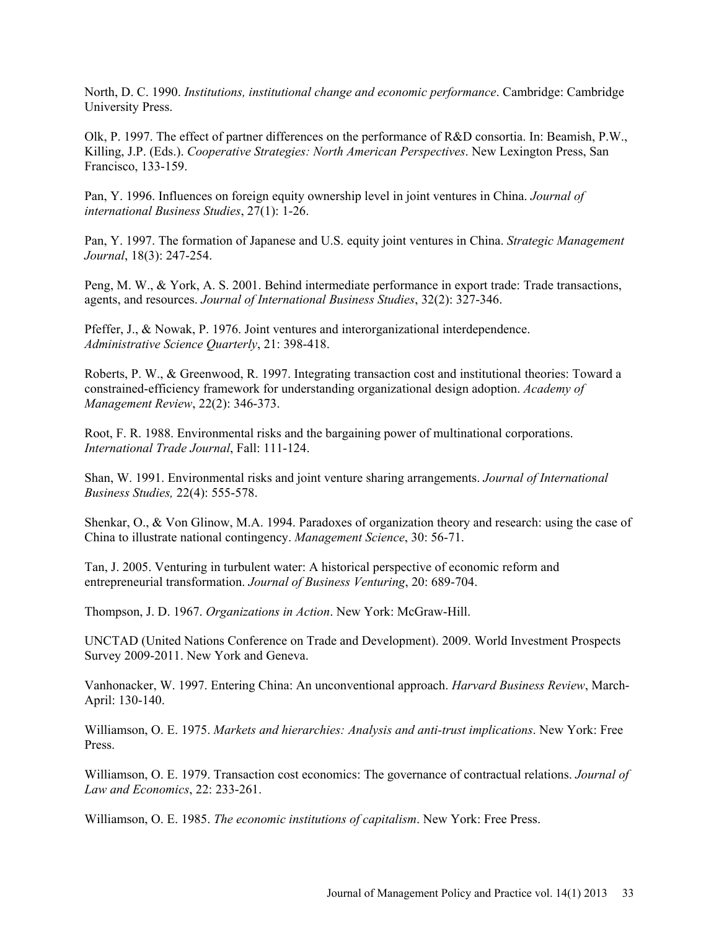North, D. C. 1990. *Institutions, institutional change and economic performance*. Cambridge: Cambridge University Press.

Olk, P. 1997. The effect of partner differences on the performance of R&D consortia. In: Beamish, P.W., Killing, J.P. (Eds.). *Cooperative Strategies: North American Perspectives*. New Lexington Press, San Francisco, 133-159.

Pan, Y. 1996. Influences on foreign equity ownership level in joint ventures in China. *Journal of international Business Studies*, 27(1): 1-26.

Pan, Y. 1997. The formation of Japanese and U.S. equity joint ventures in China. *Strategic Management Journal*, 18(3): 247-254.

Peng, M. W., & York, A. S. 2001. Behind intermediate performance in export trade: Trade transactions, agents, and resources. *Journal of International Business Studies*, 32(2): 327-346.

Pfeffer, J., & Nowak, P. 1976. Joint ventures and interorganizational interdependence. *Administrative Science Quarterly*, 21: 398-418.

Roberts, P. W., & Greenwood, R. 1997. Integrating transaction cost and institutional theories: Toward a constrained-efficiency framework for understanding organizational design adoption. *Academy of Management Review*, 22(2): 346-373.

Root, F. R. 1988. Environmental risks and the bargaining power of multinational corporations. *International Trade Journal*, Fall: 111-124.

Shan, W. 1991. Environmental risks and joint venture sharing arrangements. *Journal of International Business Studies,* 22(4): 555-578.

Shenkar, O., & Von Glinow, M.A. 1994. Paradoxes of organization theory and research: using the case of China to illustrate national contingency. *Management Science*, 30: 56-71.

Tan, J. 2005. Venturing in turbulent water: A historical perspective of economic reform and entrepreneurial transformation. *Journal of Business Venturing*, 20: 689-704.

Thompson, J. D. 1967. *Organizations in Action*. New York: McGraw-Hill.

UNCTAD (United Nations Conference on Trade and Development). 2009. World Investment Prospects Survey 2009-2011. New York and Geneva.

Vanhonacker, W. 1997. Entering China: An unconventional approach. *Harvard Business Review*, March-April: 130-140.

Williamson, O. E. 1975. *Markets and hierarchies: Analysis and anti-trust implications*. New York: Free Press.

Williamson, O. E. 1979. Transaction cost economics: The governance of contractual relations. *Journal of Law and Economics*, 22: 233-261.

Williamson, O. E. 1985. *The economic institutions of capitalism*. New York: Free Press.